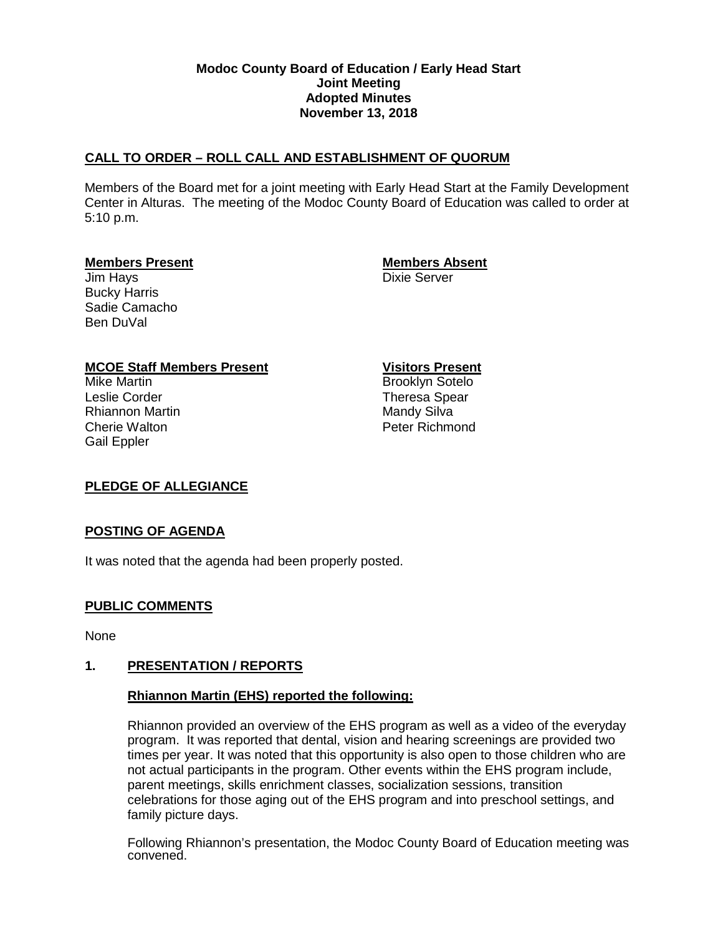### **Modoc County Board of Education / Early Head Start Joint Meeting Adopted Minutes November 13, 2018**

# **CALL TO ORDER – ROLL CALL AND ESTABLISHMENT OF QUORUM**

Members of the Board met for a joint meeting with Early Head Start at the Family Development Center in Alturas. The meeting of the Modoc County Board of Education was called to order at 5:10 p.m.

#### **Members Present Members Absent**

**Jim Hays** Dixie Server Bucky Harris Sadie Camacho Ben DuVal

# **MCOE Staff Members Present Visitors Present**

Leslie Corder Theresa Spear Rhiannon Martin **Mandy Silva** Mandy Silva Cherie Walton **Peter Richmond** Gail Eppler

Brooklyn Sotelo

# **PLEDGE OF ALLEGIANCE**

# **POSTING OF AGENDA**

It was noted that the agenda had been properly posted.

# **PUBLIC COMMENTS**

None

# **1. PRESENTATION / REPORTS**

# **Rhiannon Martin (EHS) reported the following:**

Rhiannon provided an overview of the EHS program as well as a video of the everyday program. It was reported that dental, vision and hearing screenings are provided two times per year. It was noted that this opportunity is also open to those children who are not actual participants in the program. Other events within the EHS program include, parent meetings, skills enrichment classes, socialization sessions, transition celebrations for those aging out of the EHS program and into preschool settings, and family picture days.

Following Rhiannon's presentation, the Modoc County Board of Education meeting was convened.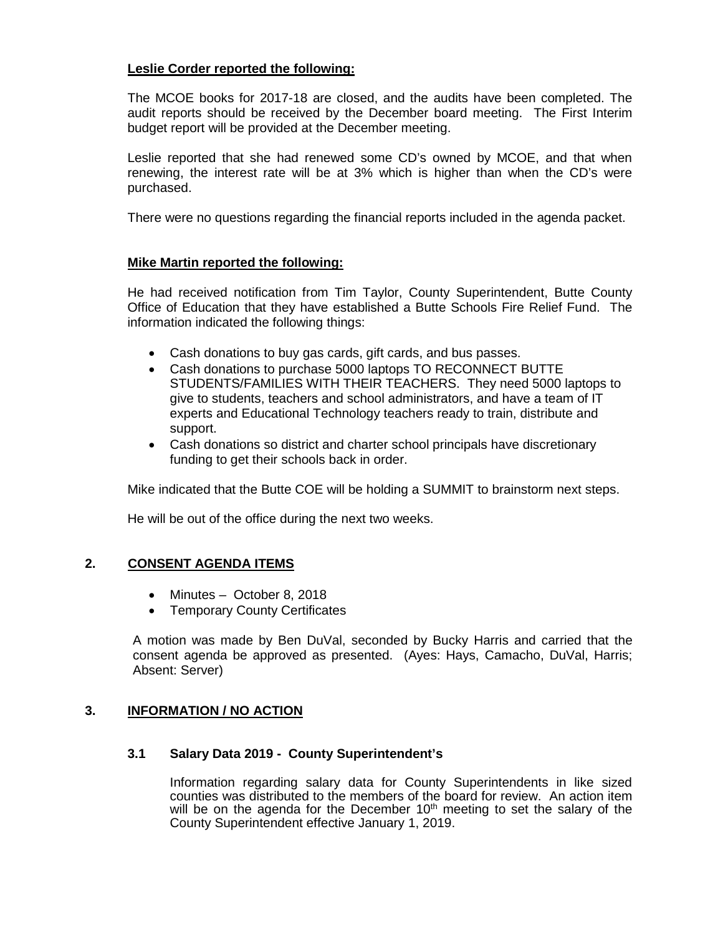# **Leslie Corder reported the following:**

The MCOE books for 2017-18 are closed, and the audits have been completed. The audit reports should be received by the December board meeting. The First Interim budget report will be provided at the December meeting.

Leslie reported that she had renewed some CD's owned by MCOE, and that when renewing, the interest rate will be at 3% which is higher than when the CD's were purchased.

There were no questions regarding the financial reports included in the agenda packet.

#### **Mike Martin reported the following:**

He had received notification from Tim Taylor, County Superintendent, Butte County Office of Education that they have established a Butte Schools Fire Relief Fund. The information indicated the following things:

- Cash donations to buy gas cards, gift cards, and bus passes.
- Cash donations to purchase 5000 laptops TO RECONNECT BUTTE STUDENTS/FAMILIES WITH THEIR TEACHERS. They need 5000 laptops to give to students, teachers and school administrators, and have a team of IT experts and Educational Technology teachers ready to train, distribute and support.
- Cash donations so district and charter school principals have discretionary funding to get their schools back in order.

Mike indicated that the Butte COE will be holding a SUMMIT to brainstorm next steps.

He will be out of the office during the next two weeks.

# **2. CONSENT AGENDA ITEMS**

- Minutes October 8, 2018
- Temporary County Certificates

A motion was made by Ben DuVal, seconded by Bucky Harris and carried that the consent agenda be approved as presented. (Ayes: Hays, Camacho, DuVal, Harris; Absent: Server)

# **3. INFORMATION / NO ACTION**

#### **3.1 Salary Data 2019 - County Superintendent's**

Information regarding salary data for County Superintendents in like sized counties was distributed to the members of the board for review. An action item will be on the agenda for the December  $10<sup>th</sup>$  meeting to set the salary of the County Superintendent effective January 1, 2019.